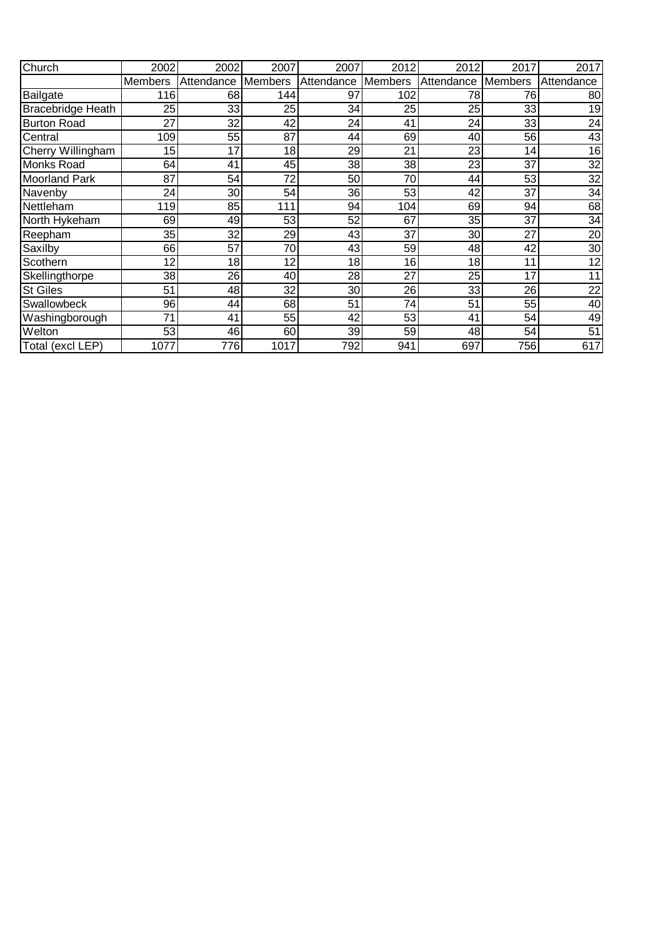| Church                   | 2002           | 2002       | 2007    | 2007       | 2012    | 2012       | 2017           | 2017       |
|--------------------------|----------------|------------|---------|------------|---------|------------|----------------|------------|
|                          | <b>Members</b> | Attendance | Members | Attendance | Members | Attendance | <b>Members</b> | Attendance |
| Bailgate                 | 116            | 68         | 144     | 97         | 102     | 78         | 76             | 80         |
| <b>Bracebridge Heath</b> | 25             | 33         | 25      | 34         | 25      | 25         | 33             | 19         |
| <b>Burton Road</b>       | 27             | 32         | 42      | 24         | 41      | 24         | 33             | 24         |
| Central                  | 109            | 55         | 87      | 44         | 69      | 40         | 56             | 43         |
| Cherry Willingham        | 15             | 17         | 18      | 29         | 21      | 23         | 14             | 16         |
| <b>Monks Road</b>        | 64             | 41         | 45      | 38         | 38      | 23         | 37             | 32         |
| <b>Moorland Park</b>     | 87             | 54         | 72      | 50         | 70      | 44         | 53             | 32         |
| Navenby                  | 24             | 30         | 54      | 36         | 53      | 42         | 37             | 34         |
| Nettleham                | 119            | 85         | 111     | 94         | 104     | 69         | 94             | 68         |
| North Hykeham            | 69             | 49         | 53      | 52         | 67      | 35         | 37             | 34         |
| Reepham                  | 35             | 32         | 29      | 43         | 37      | 30         | 27             | 20         |
| Saxilby                  | 66             | 57         | 70      | 43         | 59      | 48         | 42             | 30         |
| Scothern                 | 12             | 18         | 12      | 18         | 16      | 18         | 11             | 12         |
| Skellingthorpe           | 38             | 26         | 40      | 28         | 27      | 25         | 17             | 11         |
| <b>St Giles</b>          | 51             | 48         | 32      | 30         | 26      | 33         | 26             | 22         |
| Swallowbeck              | 96             | 44         | 68      | 51         | 74      | 51         | 55             | 40         |
| Washingborough           | 71             | 41         | 55      | 42         | 53      | 41         | 54             | 49         |
| Welton                   | 53             | 46         | 60      | 39         | 59      | 48         | 54             | 51         |
| Total (excl LEP)         | 1077           | 776        | 1017    | 792        | 941     | 697        | 756            | 617        |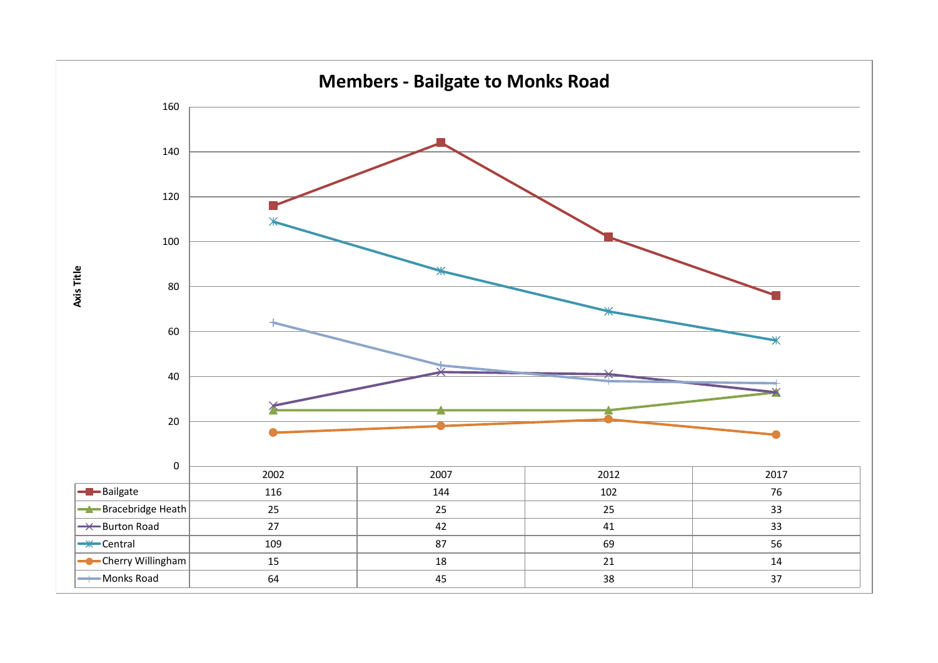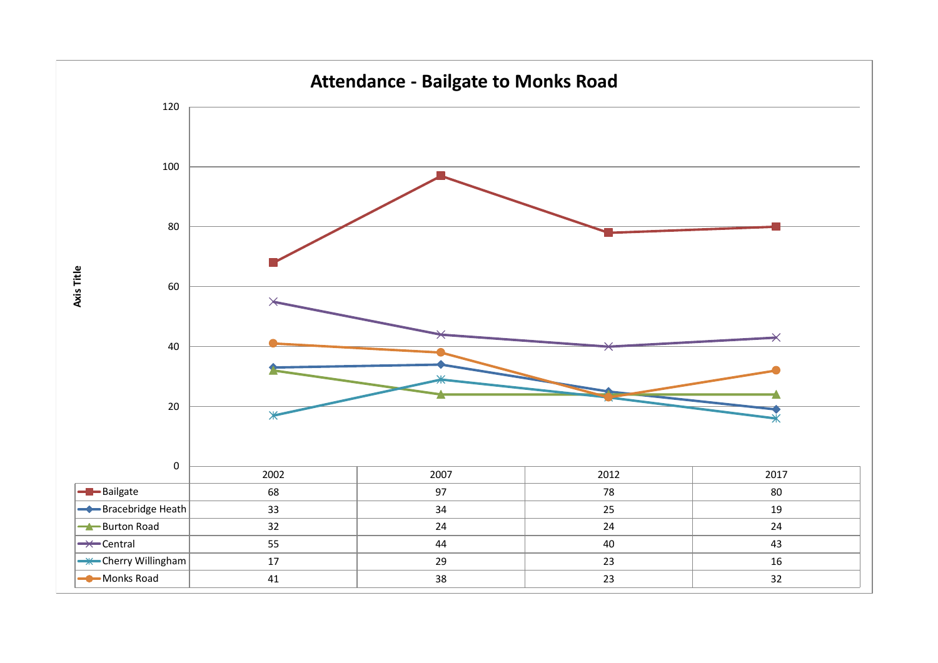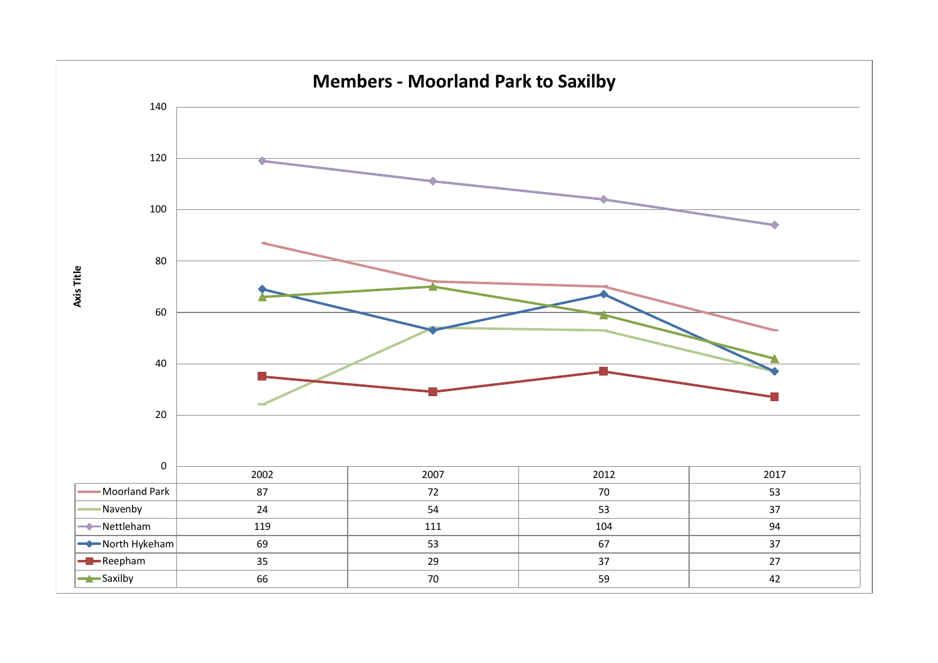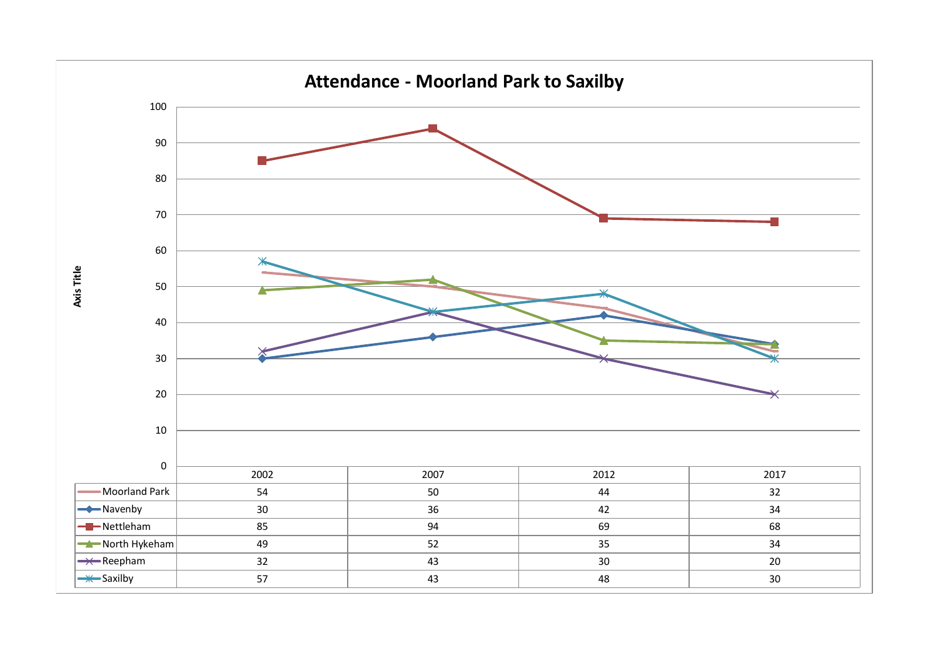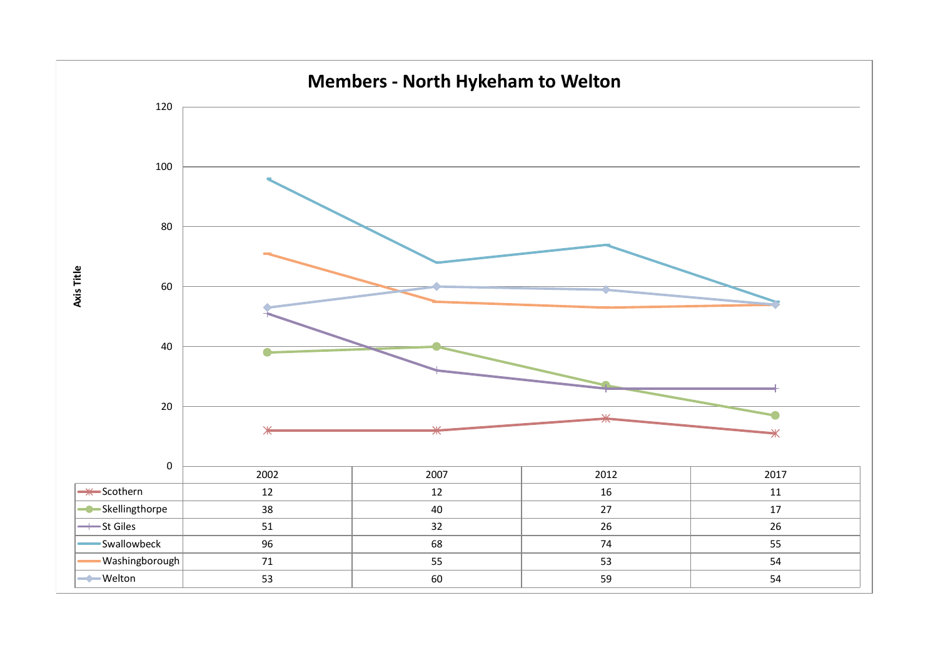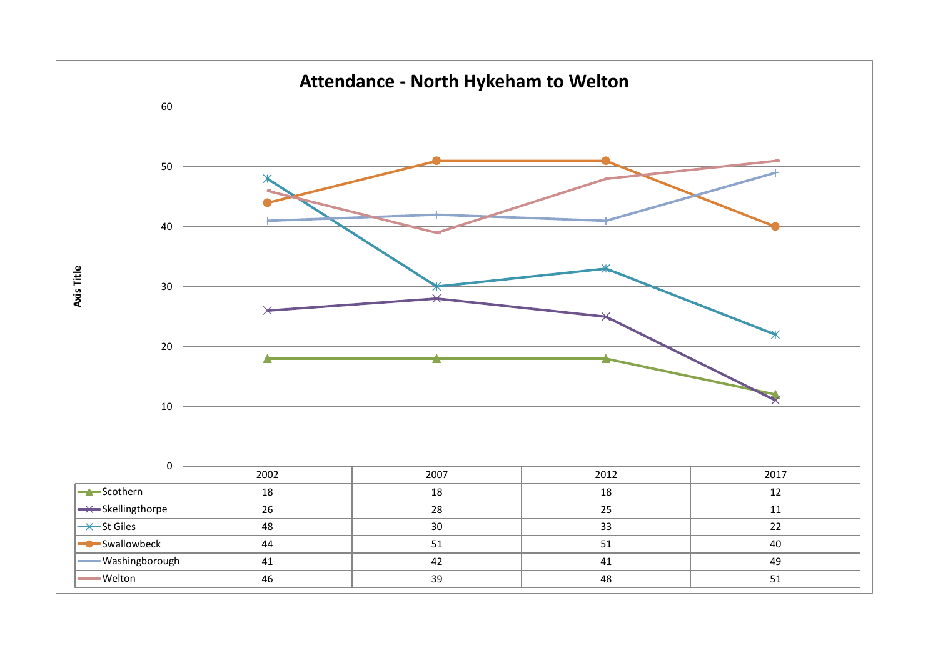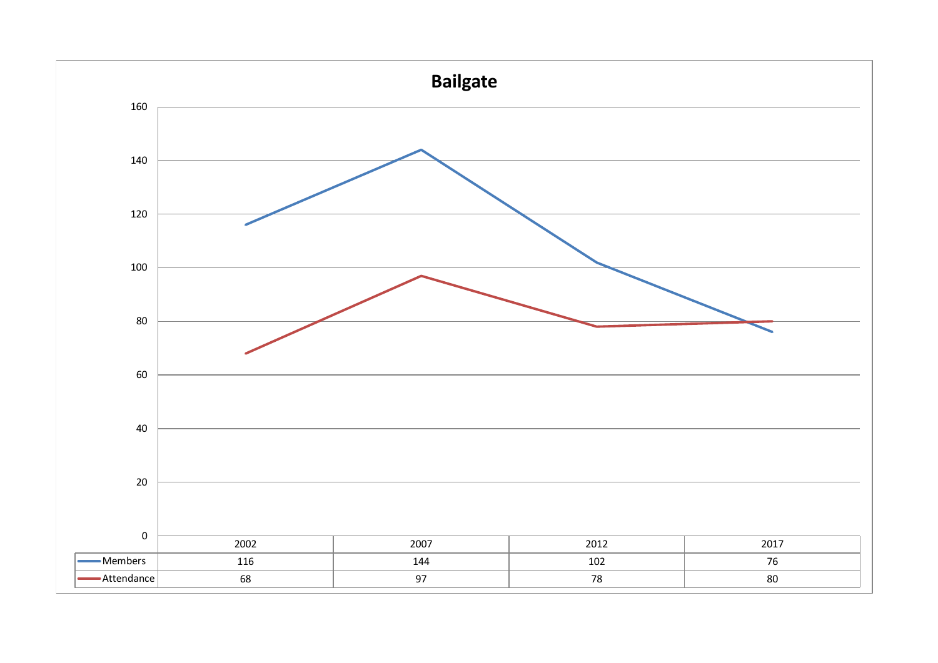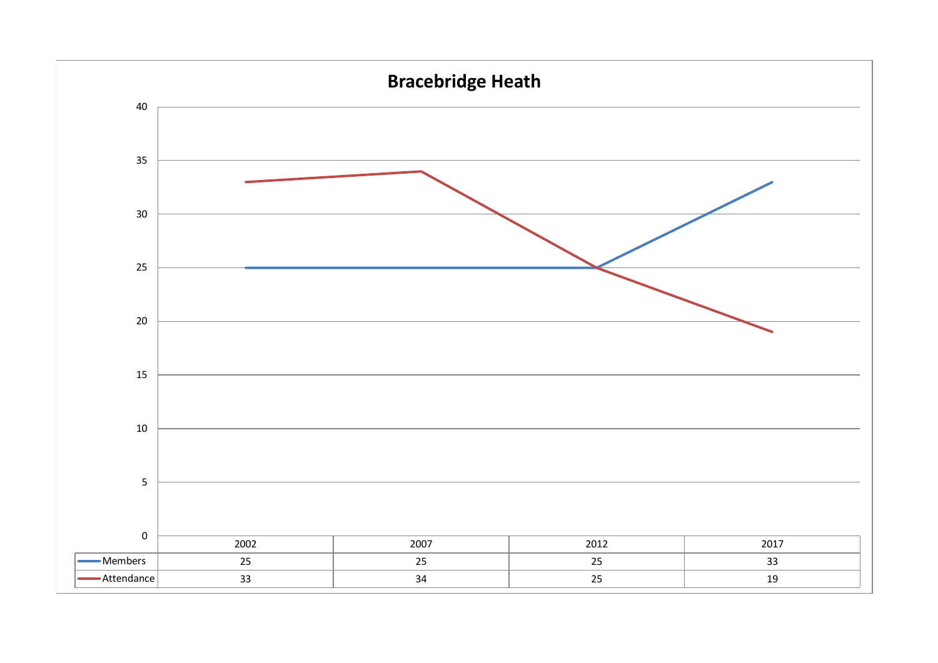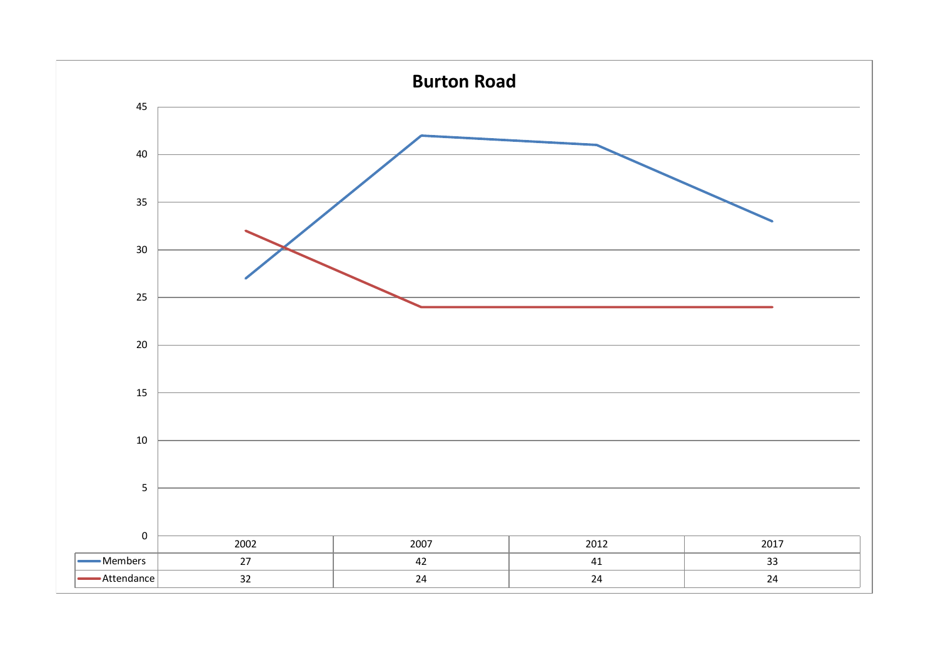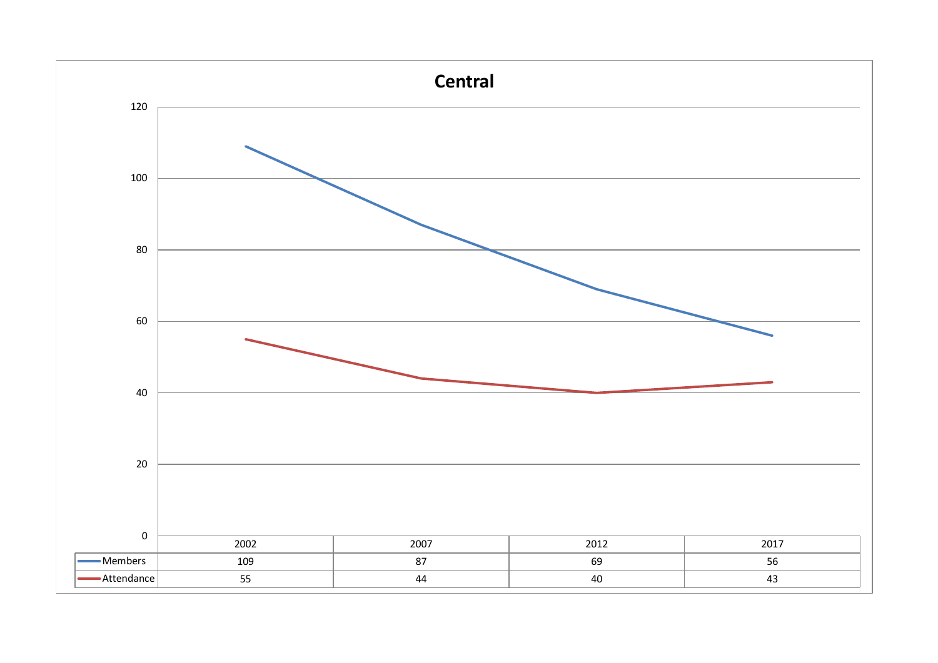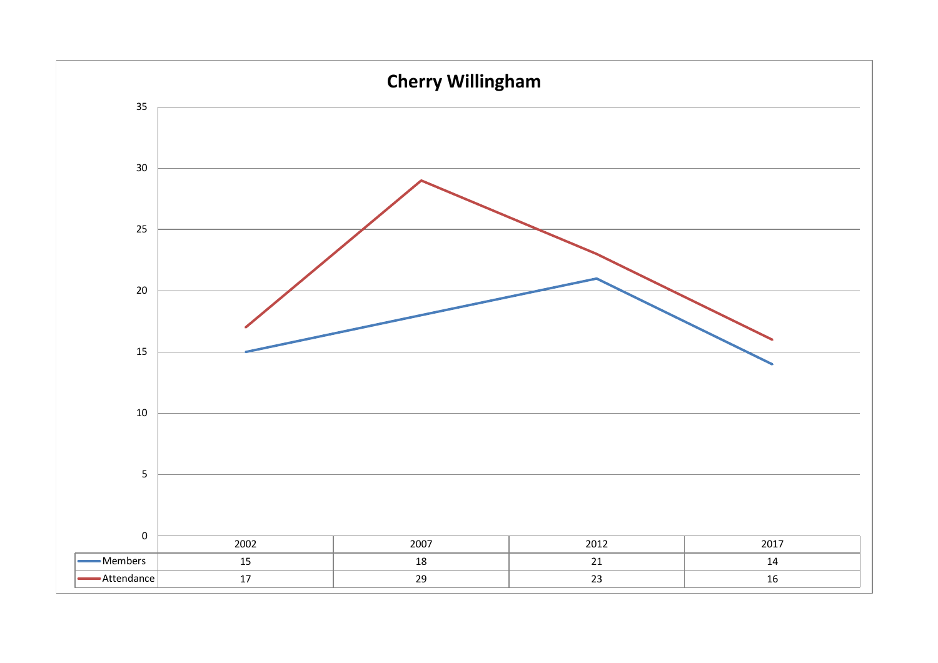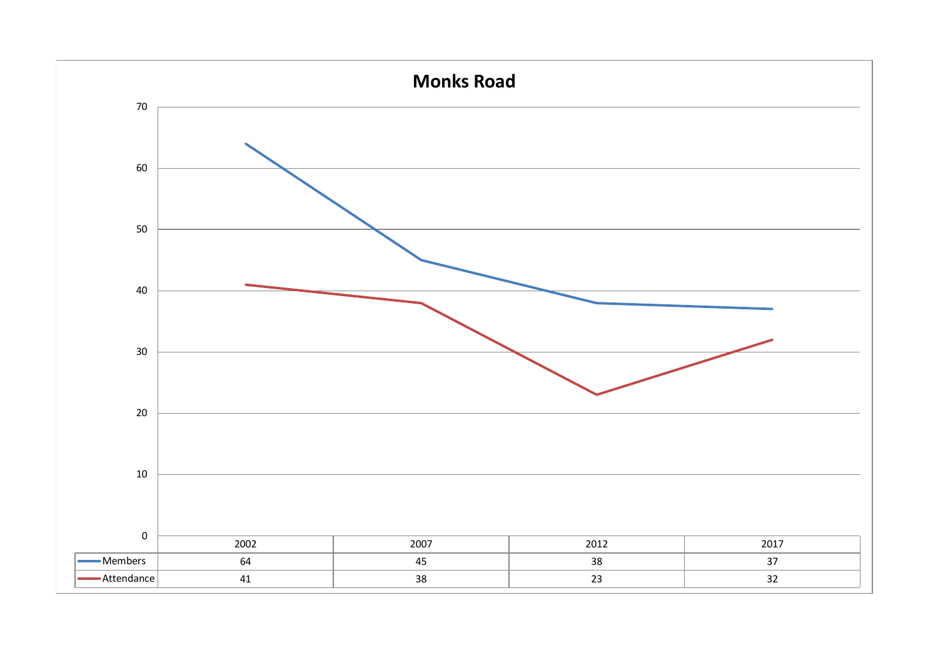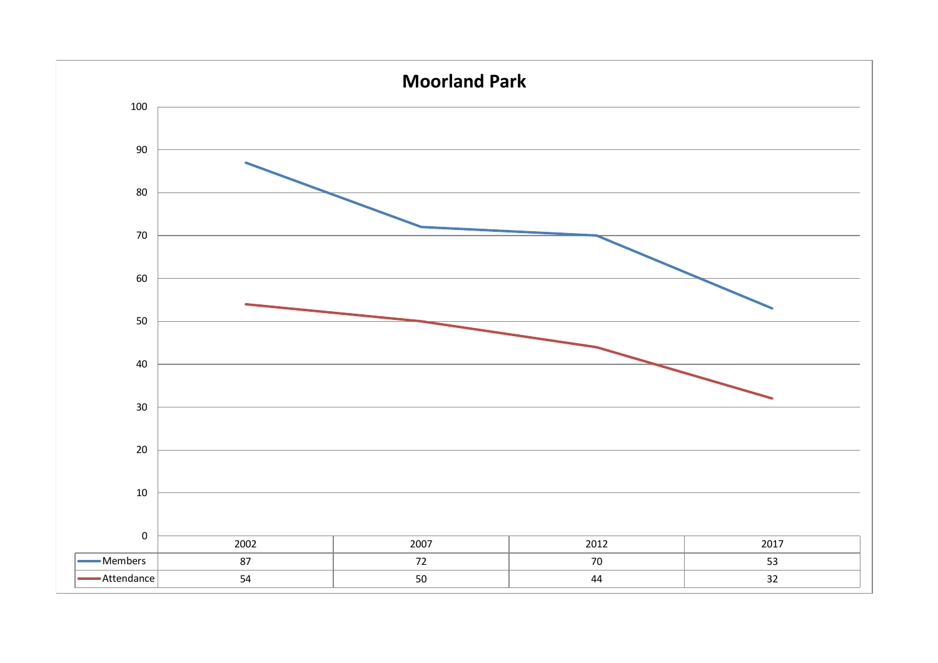![](_page_13_Figure_0.jpeg)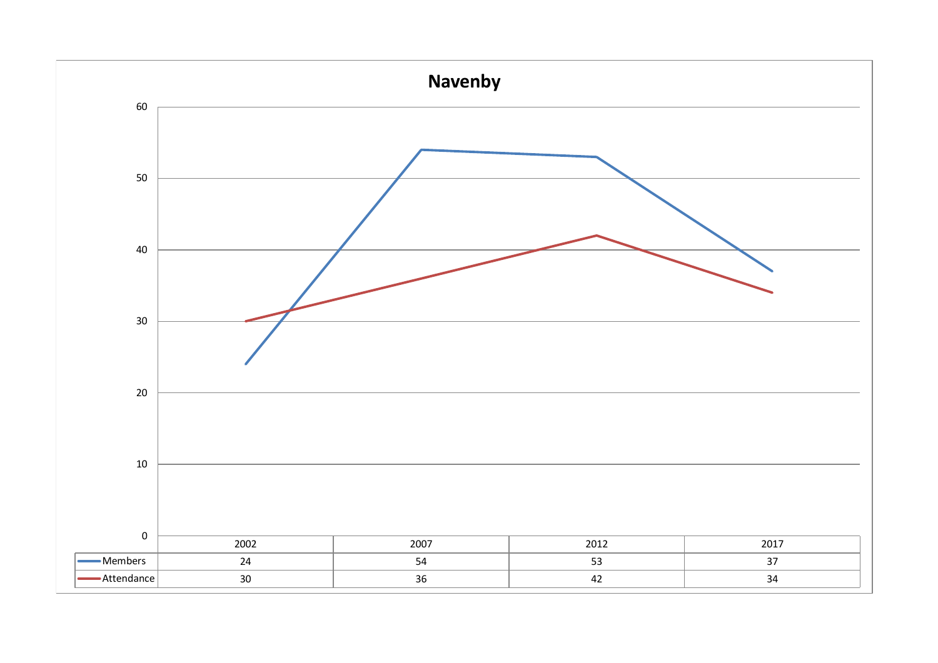![](_page_14_Figure_0.jpeg)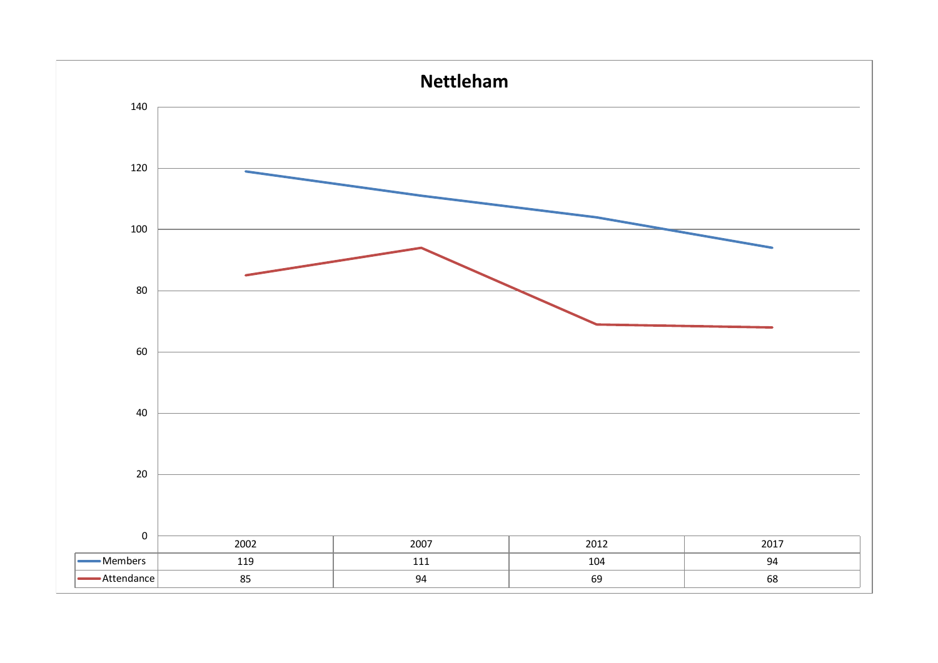![](_page_15_Figure_0.jpeg)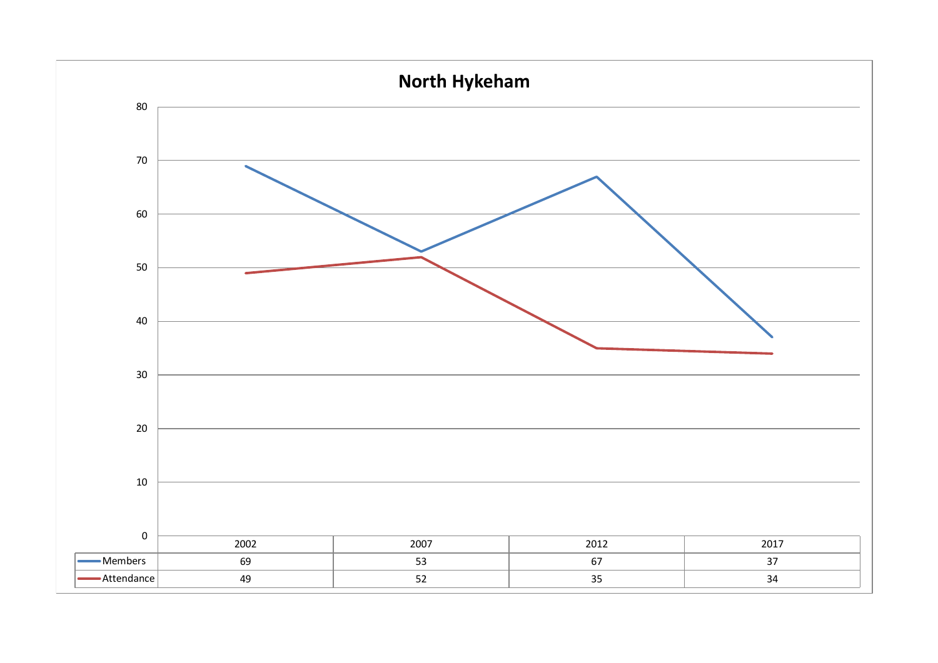![](_page_16_Figure_0.jpeg)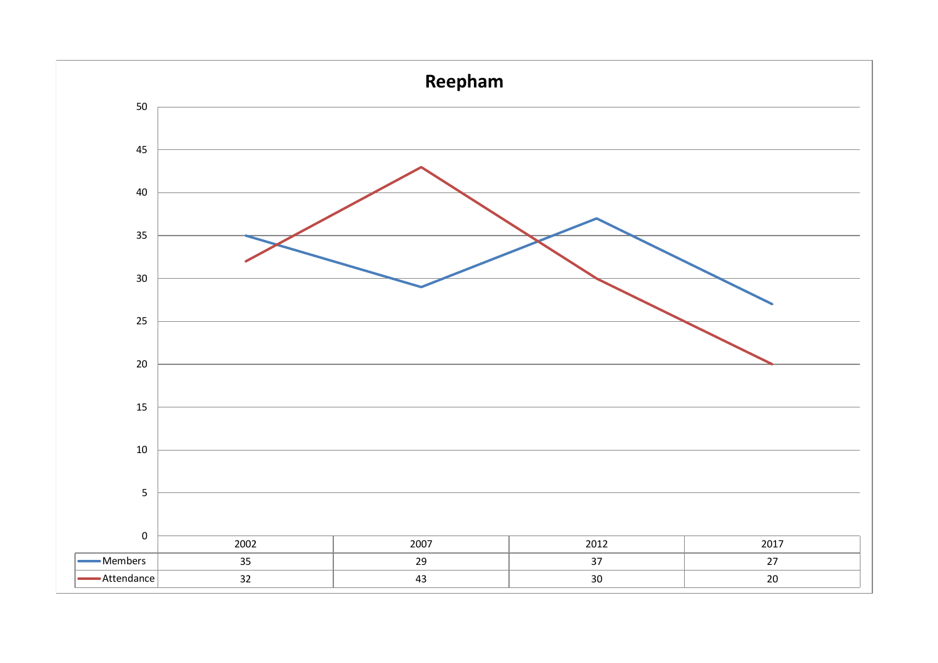![](_page_17_Figure_0.jpeg)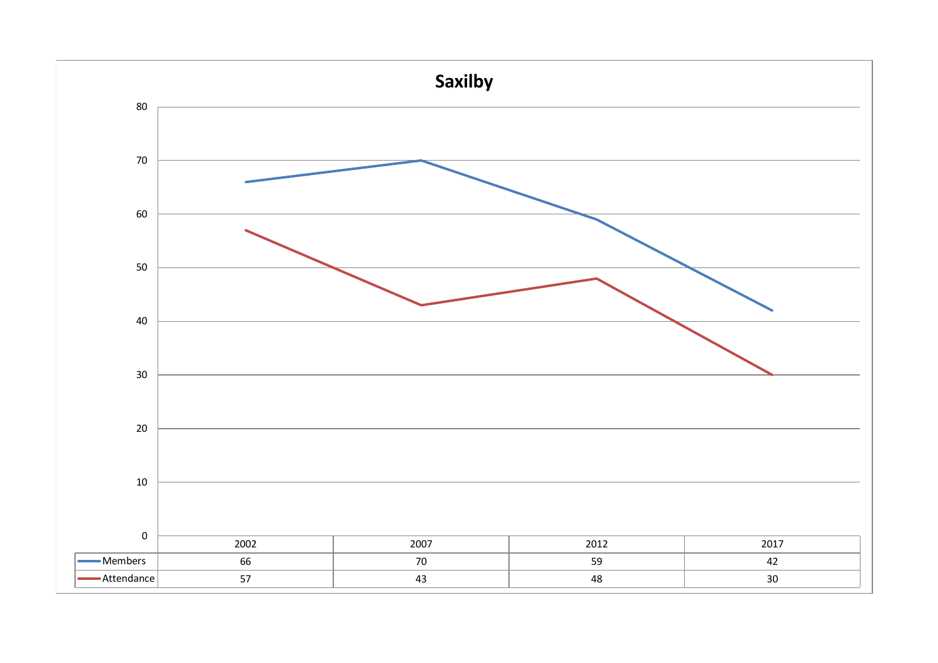![](_page_18_Figure_0.jpeg)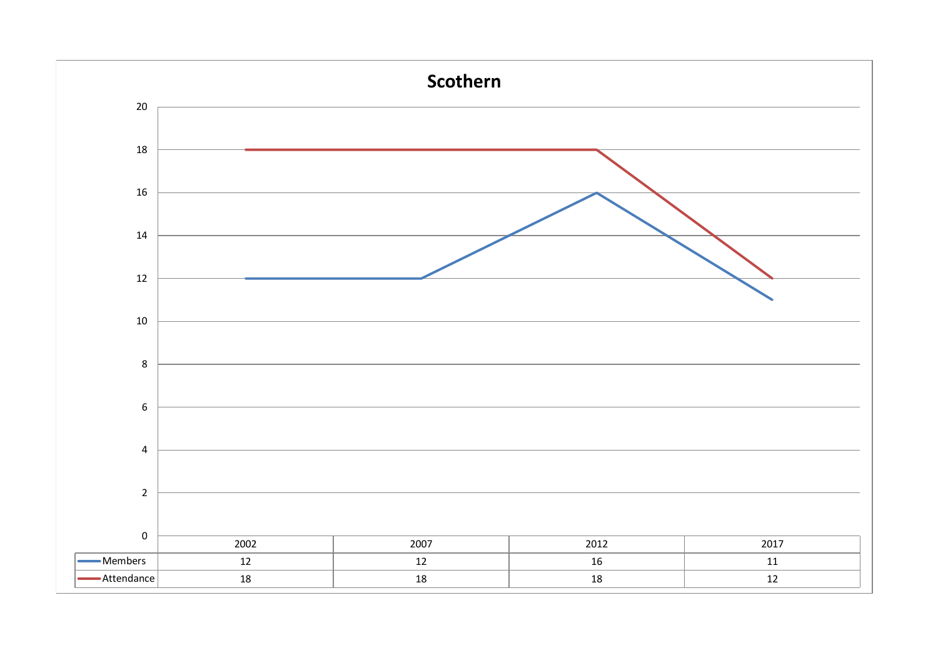![](_page_19_Figure_0.jpeg)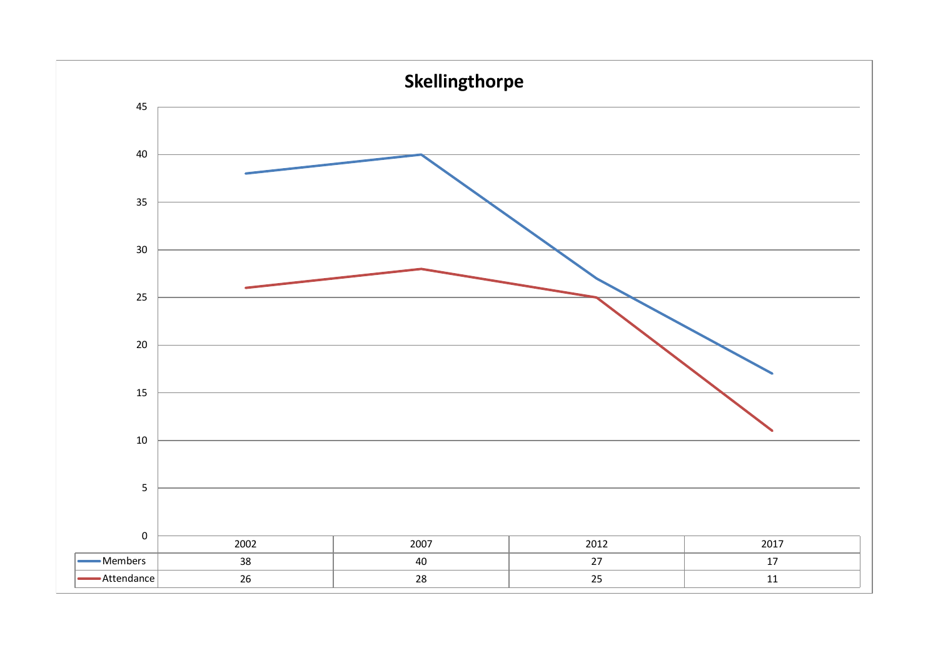![](_page_20_Figure_0.jpeg)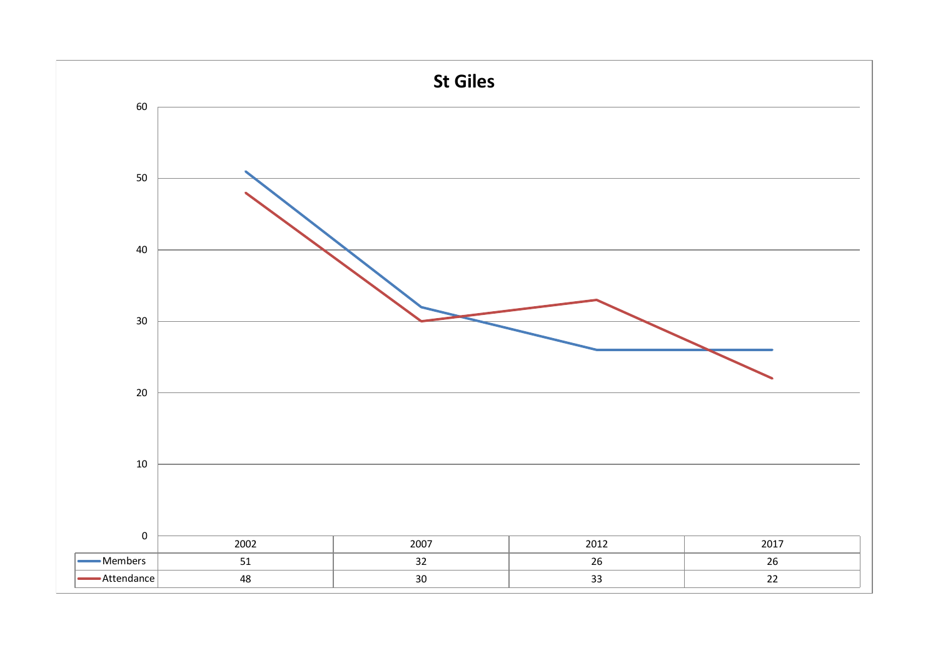![](_page_21_Figure_0.jpeg)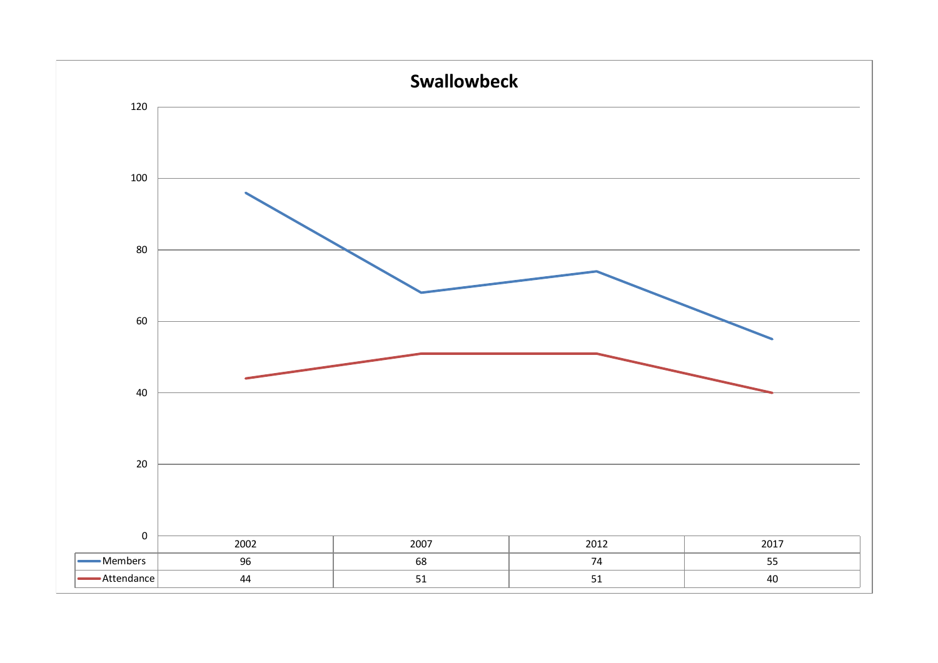![](_page_22_Figure_0.jpeg)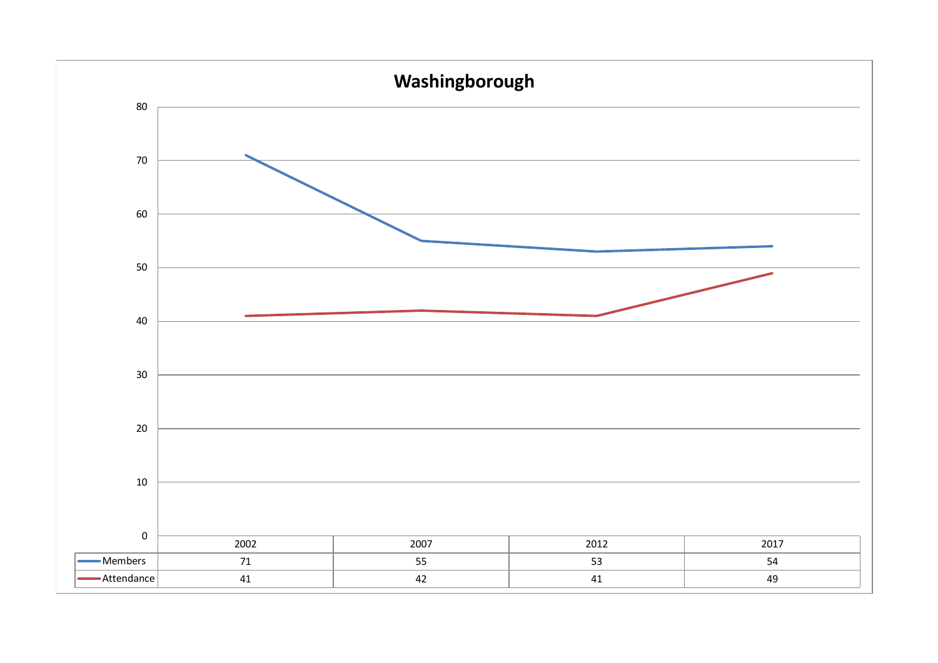![](_page_23_Figure_0.jpeg)